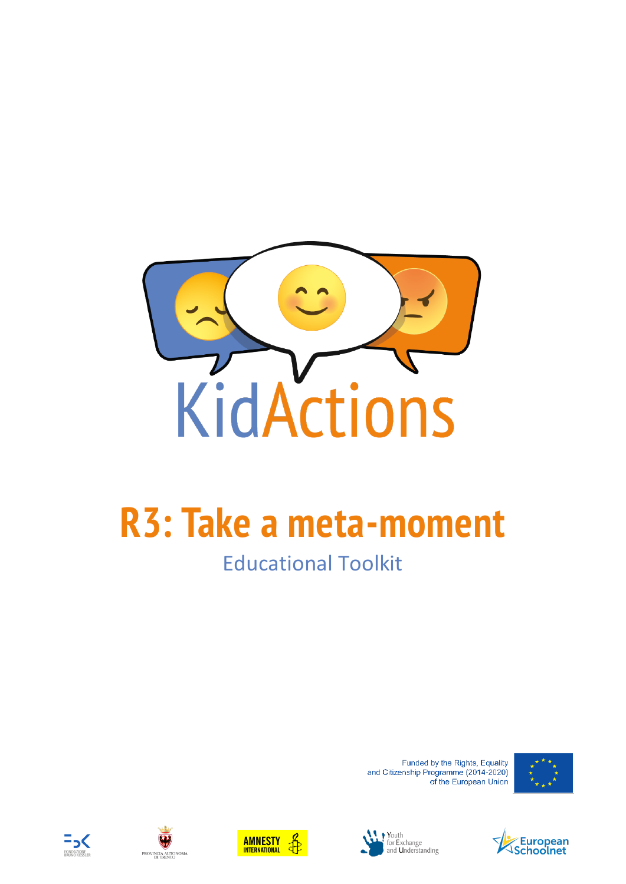

# **R3: Take a meta-moment**

# Educational Toolkit

Funded by the Rights, Equality and Citizenship Programme (2014-2020) of the European Union











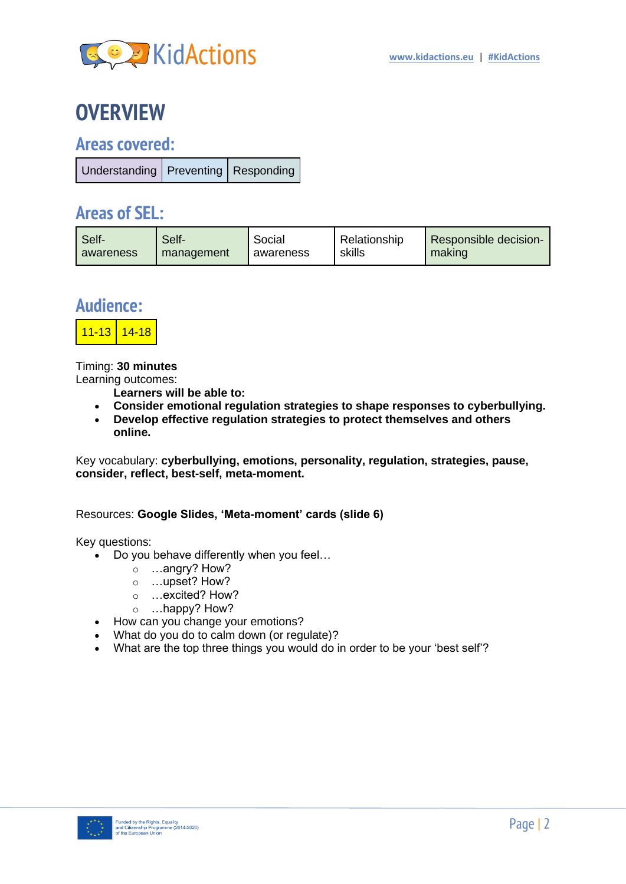

## **OVERVIEW**

### **Areas covered:**

| Understanding   Preventing   Responding |  |
|-----------------------------------------|--|
|                                         |  |

### **Areas of SEL:**

| Self-     | Self-      | Social    | Relationship | Responsible decision- |
|-----------|------------|-----------|--------------|-----------------------|
| awareness | management | awareness | skills       | making                |

### **Audience:**



Timing: **30 minutes** Learning outcomes:

**Learners will be able to:**

- **Consider emotional regulation strategies to shape responses to cyberbullying.**
- **Develop effective regulation strategies to protect themselves and others online.**

Key vocabulary: **cyberbullying, emotions, personality, regulation, strategies, pause, consider, reflect, best-self, meta-moment.**

#### Resources: **Google Slides, 'Meta-moment' cards (slide 6)**

Key questions:

- Do you behave differently when you feel…
	- o …angry? How?
	- o …upset? How?
	- o …excited? How?
	- o …happy? How?
- How can you change your emotions?
- What do you do to calm down (or regulate)?
- What are the top three things you would do in order to be your 'best self'?

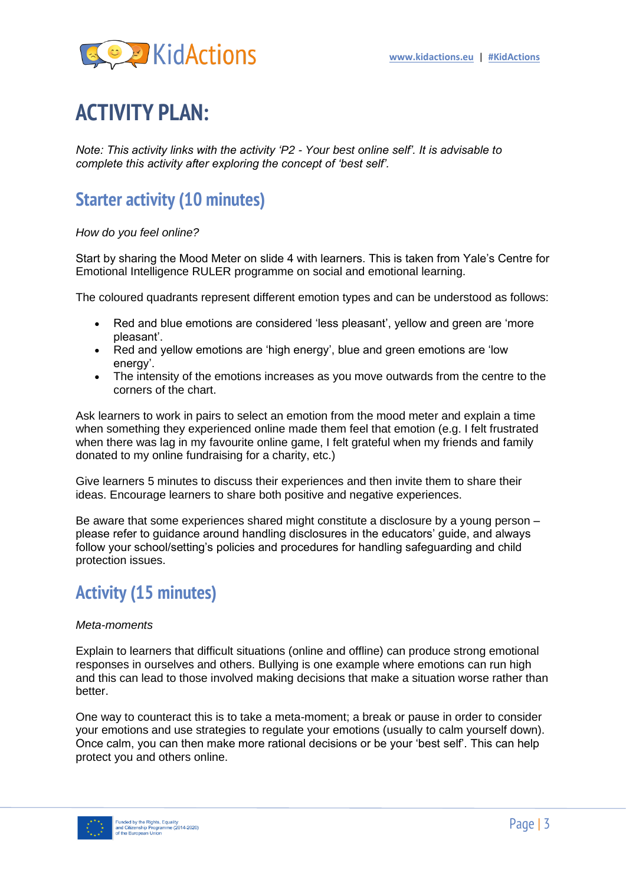

# **ACTIVITY PLAN:**

*Note: This activity links with the activity 'P2 - Your best online self'. It is advisable to complete this activity after exploring the concept of 'best self'.*

### **Starter activity (10 minutes)**

#### *How do you feel online?*

Start by sharing the Mood Meter on slide 4 with learners. This is taken from Yale's Centre for Emotional Intelligence RULER programme on social and emotional learning.

The coloured quadrants represent different emotion types and can be understood as follows:

- Red and blue emotions are considered 'less pleasant', yellow and green are 'more pleasant'.
- Red and yellow emotions are 'high energy', blue and green emotions are 'low energy'.
- The intensity of the emotions increases as you move outwards from the centre to the corners of the chart.

Ask learners to work in pairs to select an emotion from the mood meter and explain a time when something they experienced online made them feel that emotion (e.g. I felt frustrated when there was lag in my favourite online game, I felt grateful when my friends and family donated to my online fundraising for a charity, etc.)

Give learners 5 minutes to discuss their experiences and then invite them to share their ideas. Encourage learners to share both positive and negative experiences.

Be aware that some experiences shared might constitute a disclosure by a young person – please refer to guidance around handling disclosures in the educators' guide, and always follow your school/setting's policies and procedures for handling safeguarding and child protection issues.

### **Activity (15 minutes)**

#### *Meta-moments*

Explain to learners that difficult situations (online and offline) can produce strong emotional responses in ourselves and others. Bullying is one example where emotions can run high and this can lead to those involved making decisions that make a situation worse rather than better.

One way to counteract this is to take a meta-moment; a break or pause in order to consider your emotions and use strategies to regulate your emotions (usually to calm yourself down). Once calm, you can then make more rational decisions or be your 'best self'. This can help protect you and others online.